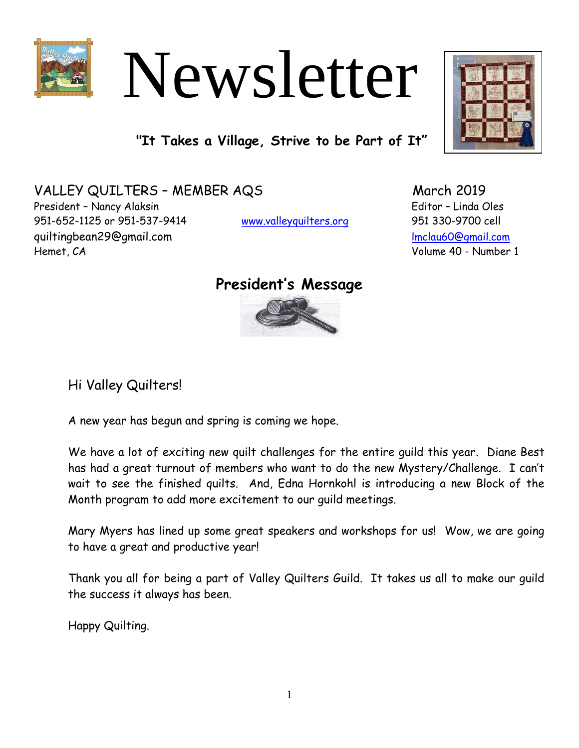

# Newsletter

**"It Takes a Village, Strive to be Part of It"**

VALLEY QUILTERS - MEMBER AQS March 2019 President – Nancy Alaksin Editor – Linda Oles 951-652-1125 or 951-537-9414 [www.valleyquilters.org](http://www.valleyquilters.org/) 951 330-9700 cell quiltingbean29@gmail.com and the community of the [lmclau60@gmail.com](mailto:lmclau60@gmail.com) Hemet, CA Volume 40 - Number 1

# **President's Message**



Hi Valley Quilters!

A new year has begun and spring is coming we hope.

We have a lot of exciting new quilt challenges for the entire guild this year. Diane Best has had a great turnout of members who want to do the new Mystery/Challenge. I can't wait to see the finished quilts. And, Edna Hornkohl is introducing a new Block of the Month program to add more excitement to our guild meetings.

Mary Myers has lined up some great speakers and workshops for us! Wow, we are going to have a great and productive year!

Thank you all for being a part of Valley Quilters Guild. It takes us all to make our guild the success it always has been.

Happy Quilting.

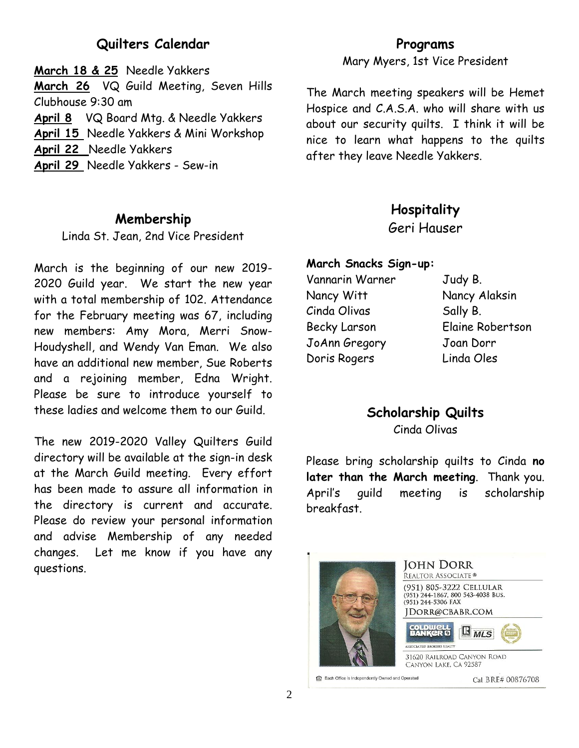# **Quilters Calendar**

**March 18 & 25** Needle Yakkers **March 26** VQ Guild Meeting, Seven Hills Clubhouse 9:30 am **April 8** VQ Board Mtg. & Needle Yakkers **April 15** Needle Yakkers & Mini Workshop **April 22** Needle Yakkers **April 29** Needle Yakkers - Sew-in

## **Membership**

Linda St. Jean, 2nd Vice President

March is the beginning of our new 2019- 2020 Guild year. We start the new year with a total membership of 102. Attendance for the February meeting was 67, including new members: Amy Mora, Merri Snow-Houdyshell, and Wendy Van Eman. We also have an additional new member, Sue Roberts and a rejoining member, Edna Wright. Please be sure to introduce yourself to these ladies and welcome them to our Guild.

The new 2019-2020 Valley Quilters Guild directory will be available at the sign-in desk at the March Guild meeting. Every effort has been made to assure all information in the directory is current and accurate. Please do review your personal information and advise Membership of any needed changes. Let me know if you have any questions.

## **Programs**

Mary Myers, 1st Vice President

The March meeting speakers will be Hemet Hospice and C.A.S.A. who will share with us about our security quilts. I think it will be nice to learn what happens to the quilts after they leave Needle Yakkers.

## **Hospitality**

Geri Hauser

### **March Snacks Sign-up:**

Vannarin Warner Judy B. Nancy Witt Nancy Alaksin Cinda Olivas Sally B. Becky Larson Elaine Robertson JoAnn Gregory Joan Dorr Doris Rogers Linda Oles

## **Scholarship Quilts** Cinda Olivas

Please bring scholarship quilts to Cinda **no later than the March meeting**. Thank you. April's guild meeting is scholarship breakfast.



**JOHN DORR** REALTOR ASSOCIATE<sup>®</sup> (951) 805-3222 CELLULAR (951) 244-1867, 800 543-4038 BUS.<br>(951) 244-5306 FAX JDORR@CBABR.COM  $\mathbb{B}_{MLS}$  $O: 9$ 31620 RAILROAD CANYON ROAD CANYON LAKE, CA 92587

Each Office is Independently Owned and Operated

Cal BRE# 00876708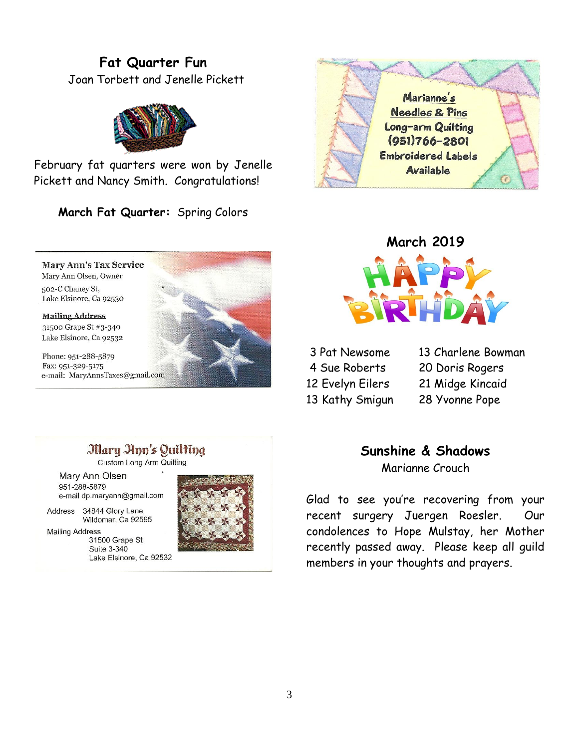# **Fat Quarter Fun** Joan Torbett and Jenelle Pickett



February fat quarters were won by Jenelle Pickett and Nancy Smith. Congratulations!

**March Fat Quarter:** Spring Colors

**Mary Ann's Tax Service** Mary Ann Olsen, Owner 502-C Chaney St, Lake Elsinore, Ca 92530

#### **Mailing Address** 31500 Grape St #3-340 Lake Elsinore, Ca 92532

Phone: 951-288-5879 Fax: 951-329-5175 e-mail: MaryAnnsTaxes@gmail.com







- 
- 
- 3 Pat Newsome 13 Charlene Bowman 4 Sue Roberts 20 Doris Rogers 12 Evelyn Eilers 21 Midge Kincaid 13 Kathy Smigun 28 Yvonne Pope

# **Mary Ann's Quilting**

Custom Long Arm Quilting

Mary Ann Olsen 951-288-5879 e-mail dp.maryann@gmail.com

Address 34844 Glory Lane Wildomar, Ca 92595

Suite 3-340

**Mailing Address** 

31500 Grape St Lake Elsinore, Ca 92532 **Sunshine & Shadows** Marianne Crouch

Glad to see you're recovering from your recent surgery Juergen Roesler. Our condolences to Hope Mulstay, her Mother recently passed away. Please keep all guild members in your thoughts and prayers.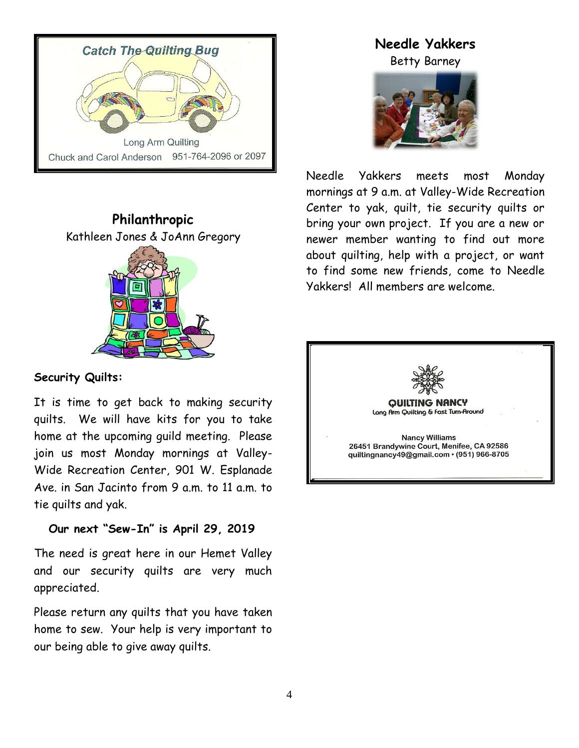



## **Security Quilts:**

It is time to get back to making security quilts. We will have kits for you to take home at the upcoming guild meeting. Please join us most Monday mornings at Valley-Wide Recreation Center, 901 W. Esplanade Ave. in San Jacinto from 9 a.m. to 11 a.m. to tie quilts and yak.

## **Our next "Sew-In" is April 29, 2019**

The need is great here in our Hemet Valley and our security quilts are very much appreciated.

Please return any quilts that you have taken home to sew. Your help is very important to our being able to give away quilts.

# **Needle Yakkers**

Betty Barney



Needle Yakkers meets most Monday mornings at 9 a.m. at Valley-Wide Recreation Center to yak, quilt, tie security quilts or bring your own project. If you are a new or newer member wanting to find out more about quilting, help with a project, or want to find some new friends, come to Needle Yakkers! All members are welcome.

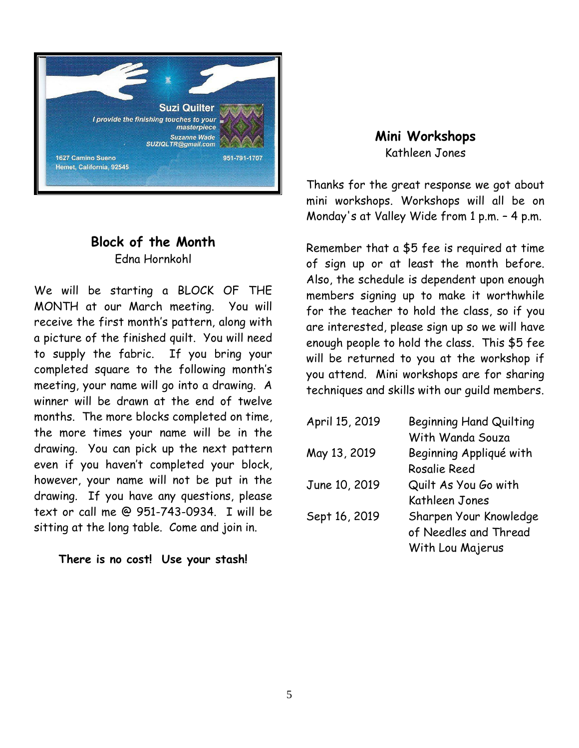

## **Block of the Month** Edna Hornkohl

We will be starting a BLOCK OF THE MONTH at our March meeting. You will receive the first month's pattern, along with a picture of the finished quilt. You will need to supply the fabric. If you bring your completed square to the following month's meeting, your name will go into a drawing. A winner will be drawn at the end of twelve months. The more blocks completed on time, the more times your name will be in the drawing. You can pick up the next pattern even if you haven't completed your block, however, your name will not be put in the drawing. If you have any questions, please text or call me @ 951-743-0934. I will be sitting at the long table. Come and join in.

**There is no cost! Use your stash!**

**Mini Workshops** Kathleen Jones

Thanks for the great response we got about mini workshops. Workshops will all be on Monday's at Valley Wide from 1 p.m. – 4 p.m.

Remember that a \$5 fee is required at time of sign up or at least the month before. Also, the schedule is dependent upon enough members signing up to make it worthwhile for the teacher to hold the class, so if you are interested, please sign up so we will have enough people to hold the class. This \$5 fee will be returned to you at the workshop if you attend. Mini workshops are for sharing techniques and skills with our guild members.

| <b>Beginning Hand Quilting</b> |
|--------------------------------|
| With Wanda Souza               |
| Beginning Appliqué with        |
| Rosalie Reed                   |
| Quilt As You Go with           |
| Kathleen Jones                 |
| Sharpen Your Knowledge         |
| of Needles and Thread          |
| With Lou Majerus               |
|                                |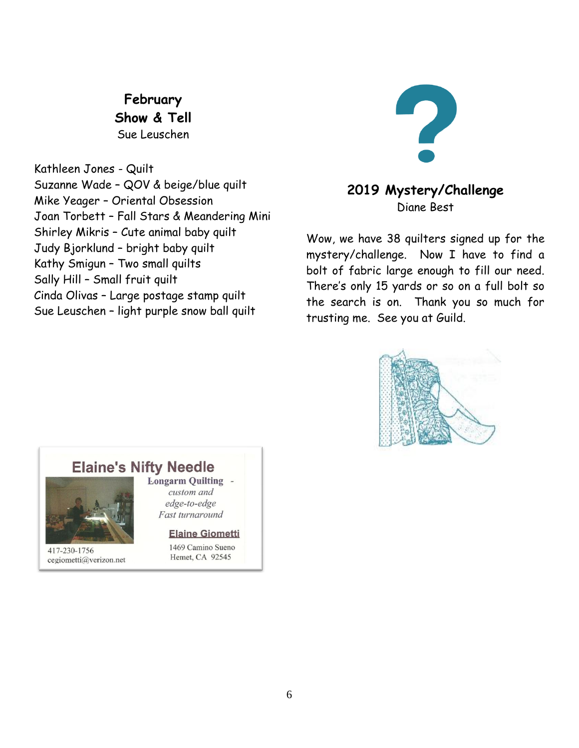**February Show & Tell** Sue Leuschen

Kathleen Jones - Quilt Suzanne Wade – QOV & beige/blue quilt Mike Yeager – Oriental Obsession Joan Torbett – Fall Stars & Meandering Mini Shirley Mikris – Cute animal baby quilt Judy Bjorklund – bright baby quilt Kathy Smigun – Two small quilts Sally Hill – Small fruit quilt Cinda Olivas – Large postage stamp quilt Sue Leuschen – light purple snow ball quilt



# **2019 Mystery/Challenge** Diane Best

Wow, we have 38 quilters signed up for the mystery/challenge. Now I have to find a bolt of fabric large enough to fill our need. There's only 15 yards or so on a full bolt so the search is on. Thank you so much for trusting me. See you at Guild.



# **Elaine's Nifty Needle**



417-230-1756 cegiometti@verizon.net **Longarm Quilting** custom and edge-to-edge Fast turnaround

#### **Elaine Giometti**

1469 Camino Sueno Hemet, CA 92545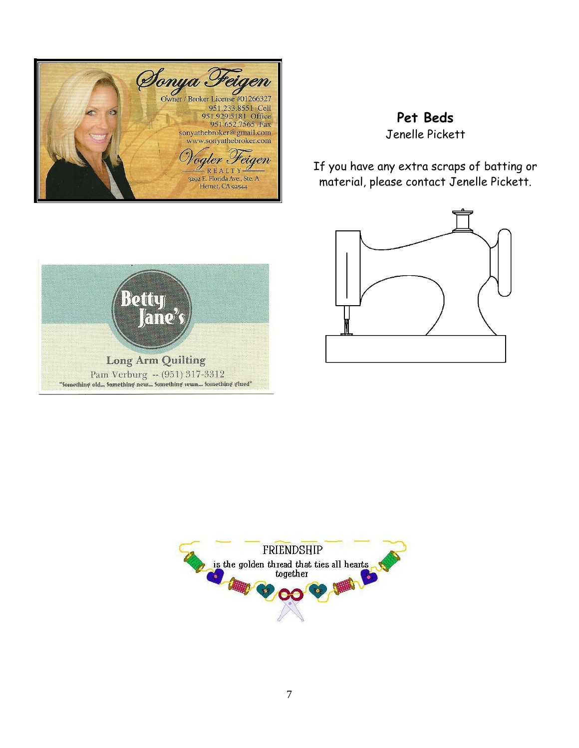

# **Pet Beds** Jenelle Pickett

If you have any extra scraps of batting or material, please contact Jenelle Pickett.